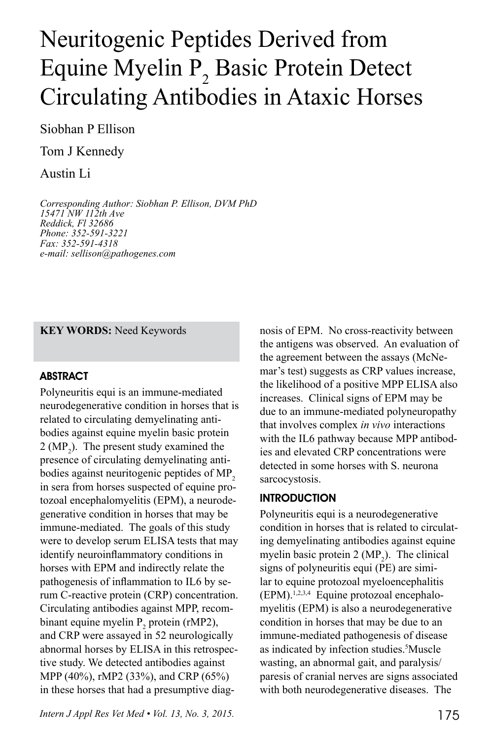# Neuritogenic Peptides Derived from Equine Myelin P<sub>2</sub> Basic Protein Detect Circulating Antibodies in Ataxic Horses

Siobhan P Ellison

Tom J Kennedy

Austin Li

*Corresponding Author: Siobhan P. Ellison, DVM PhD 15471 NW 112th Ave Reddick, Fl 32686 Phone: 352-591-3221 Fax: 352-591-4318 e-mail: sellison@pathogenes.com*

**KEY WORDS:** Need Keywords

## ABSTRACT

Polyneuritis equi is an immune-mediated neurodegenerative condition in horses that is related to circulating demyelinating antibodies against equine myelin basic protein  $2 (MP<sub>2</sub>)$ . The present study examined the presence of circulating demyelinating antibodies against neuritogenic peptides of MP<sub>2</sub> in sera from horses suspected of equine protozoal encephalomyelitis (EPM), a neurodegenerative condition in horses that may be immune-mediated. The goals of this study were to develop serum ELISA tests that may identify neuroinflammatory conditions in horses with EPM and indirectly relate the pathogenesis of inflammation to IL6 by serum C-reactive protein (CRP) concentration. Circulating antibodies against MPP, recombinant equine myelin  $P_2$  protein (rMP2), and CRP were assayed in 52 neurologically abnormal horses by ELISA in this retrospective study. We detected antibodies against MPP (40%), rMP2 (33%), and CRP (65%) in these horses that had a presumptive diag-

*Intern J Appl Res Vet Med • Vol. 13, No. 3, 2015.* 175

nosis of EPM. No cross-reactivity between the antigens was observed. An evaluation of the agreement between the assays (McNemar's test) suggests as CRP values increase, the likelihood of a positive MPP ELISA also increases. Clinical signs of EPM may be due to an immune-mediated polyneuropathy that involves complex *in vivo* interactions with the IL6 pathway because MPP antibodies and elevated CRP concentrations were detected in some horses with S. neurona sarcocystosis.

## **INTRODUCTION**

Polyneuritis equi is a neurodegenerative condition in horses that is related to circulating demyelinating antibodies against equine myelin basic protein  $2 \, (MP_2)$ . The clinical signs of polyneuritis equi (PE) are similar to equine protozoal myeloencephalitis  $(EPM)$ .<sup>1,2,3,4</sup> Equine protozoal encephalomyelitis (EPM) is also a neurodegenerative condition in horses that may be due to an immune-mediated pathogenesis of disease as indicated by infection studies.<sup>5</sup>Muscle wasting, an abnormal gait, and paralysis/ paresis of cranial nerves are signs associated with both neurodegenerative diseases. The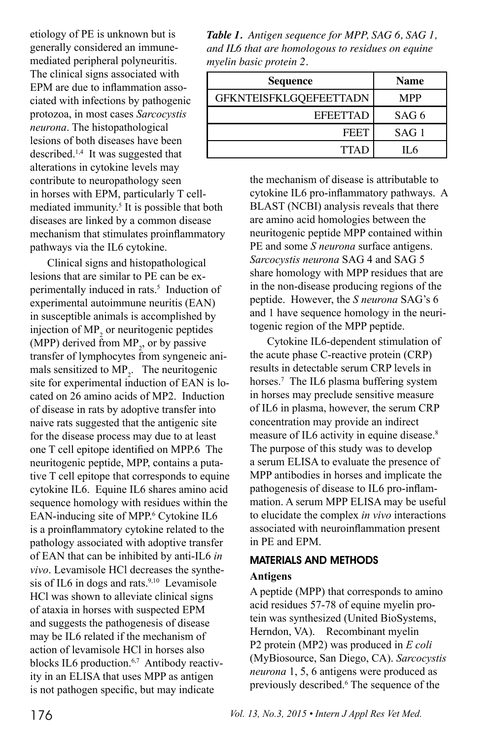etiology of PE is unknown but is generally considered an immunemediated peripheral polyneuritis. The clinical signs associated with EPM are due to inflammation associated with infections by pathogenic protozoa, in most cases *Sarcocystis neurona*. The histopathological lesions of both diseases have been described.1,4 It was suggested that alterations in cytokine levels may contribute to neuropathology seen in horses with EPM, particularly T cellmediated immunity.<sup>5</sup> It is possible that both diseases are linked by a common disease mechanism that stimulates proinflammatory pathways via the IL6 cytokine.

Clinical signs and histopathological lesions that are similar to PE can be experimentally induced in rats.<sup>5</sup> Induction of experimental autoimmune neuritis (EAN) in susceptible animals is accomplished by injection of  $MP_2$  or neuritogenic peptides (MPP) derived from  $MP_2$ , or by passive transfer of lymphocytes from syngeneic animals sensitized to  $MP_2$ . The neuritogenic site for experimental induction of EAN is located on 26 amino acids of MP2. Induction of disease in rats by adoptive transfer into naive rats suggested that the antigenic site for the disease process may due to at least one T cell epitope identified on MPP.6 The neuritogenic peptide, MPP, contains a putative T cell epitope that corresponds to equine cytokine IL6. Equine IL6 shares amino acid sequence homology with residues within the EAN-inducing site of MPP.<sup>6</sup> Cytokine IL6 is a proinflammatory cytokine related to the pathology associated with adoptive transfer of EAN that can be inhibited by anti-IL6 *in vivo*. Levamisole HCl decreases the synthesis of IL6 in dogs and rats. $9,10$  Levamisole HCl was shown to alleviate clinical signs of ataxia in horses with suspected EPM and suggests the pathogenesis of disease may be IL6 related if the mechanism of action of levamisole HCl in horses also blocks IL6 production.<sup>6,7</sup> Antibody reactivity in an ELISA that uses MPP as antigen is not pathogen specific, but may indicate

*Table 1. Antigen sequence for MPP, SAG 6, SAG 1, and IL6 that are homologous to residues on equine myelin basic protein 2.*

| Sequence                      | <b>Name</b>      |
|-------------------------------|------------------|
| <b>GFKNTEISFKLGQEFEETTADN</b> | <b>MPP</b>       |
| <b>EFEETTAD</b>               | SAG <sub>6</sub> |
| <b>FEET</b>                   | SAG <sub>1</sub> |
| <b>TTAD</b>                   | IL 6             |

the mechanism of disease is attributable to cytokine IL6 pro-inflammatory pathways. A BLAST (NCBI) analysis reveals that there are amino acid homologies between the neuritogenic peptide MPP contained within PE and some *S neurona* surface antigens. *Sarcocystis neurona* SAG 4 and SAG 5 share homology with MPP residues that are in the non-disease producing regions of the peptide. However, the *S neurona* SAG's 6 and 1 have sequence homology in the neuritogenic region of the MPP peptide.

Cytokine IL6-dependent stimulation of the acute phase C-reactive protein (CRP) results in detectable serum CRP levels in horses.<sup>7</sup> The IL6 plasma buffering system in horses may preclude sensitive measure of IL6 in plasma, however, the serum CRP concentration may provide an indirect measure of IL6 activity in equine disease.<sup>8</sup> The purpose of this study was to develop a serum ELISA to evaluate the presence of MPP antibodies in horses and implicate the pathogenesis of disease to IL6 pro-inflammation. A serum MPP ELISA may be useful to elucidate the complex *in vivo* interactions associated with neuroinflammation present in PE and EPM.

# MATERIALS AND METHODS

## **Antigens**

A peptide (MPP) that corresponds to amino acid residues 57-78 of equine myelin protein was synthesized (United BioSystems, Herndon, VA). Recombinant myelin P2 protein (MP2) was produced in *E coli*  (MyBiosource, San Diego, CA). *Sarcocystis neurona* 1, 5, 6 antigens were produced as previously described.<sup>6</sup> The sequence of the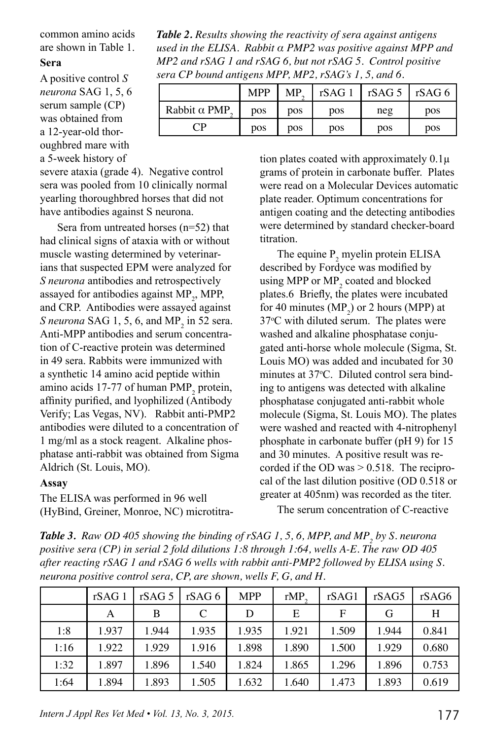common amino acids are shown in Table 1.

#### **Sera**

A positive control *S neurona* SAG 1, 5, 6 serum sample (CP) was obtained from a 12-year-old thoroughbred mare with a 5-week history of

severe ataxia (grade 4). Negative control sera was pooled from 10 clinically normal yearling thoroughbred horses that did not have antibodies against S neurona.

Sera from untreated horses (n=52) that had clinical signs of ataxia with or without muscle wasting determined by veterinarians that suspected EPM were analyzed for *S neurona* antibodies and retrospectively assayed for antibodies against  $MP_2$ , MPP, and CRP. Antibodies were assayed against  $S$  *neurona* SAG 1, 5, 6, and  $MP_2$  in 52 sera. Anti-MPP antibodies and serum concentration of C-reactive protein was determined in 49 sera. Rabbits were immunized with a synthetic 14 amino acid peptide within amino acids 17-77 of human  $\text{PMP}_2$  protein, affinity purified, and lyophilized (Antibody Verify; Las Vegas, NV). Rabbit anti-PMP2 antibodies were diluted to a concentration of 1 mg/ml as a stock reagent. Alkaline phosphatase anti-rabbit was obtained from Sigma Aldrich (St. Louis, MO).

#### **Assay**

The ELISA was performed in 96 well (HyBind, Greiner, Monroe, NC) microtitra-

*Table 2. Results showing the reactivity of sera against antigens used in the ELISA. Rabbit α PMP2 was positive against MPP and MP2 and rSAG 1 and rSAG 6, but not rSAG 5. Control positive sera CP bound antigens MPP, MP2, rSAG's 1, 5, and 6.*

|                                     | <b>MPP</b> | MP. | rSAG 1     | $rSAG5$ $rSAG6$ |            |
|-------------------------------------|------------|-----|------------|-----------------|------------|
| Rabbit $\alpha$ PMP.                | <b>DOS</b> | DOS | <b>pos</b> | neg             | <b>pos</b> |
| $\mathbin{{}^\mathsf{T}\mathsf{P}}$ | <b>pos</b> | pos | <b>DOS</b> | pos             | <b>pos</b> |

tion plates coated with approximately  $0.1\mu$ grams of protein in carbonate buffer. Plates were read on a Molecular Devices automatic plate reader. Optimum concentrations for antigen coating and the detecting antibodies were determined by standard checker-board titration.

The equine  $P_2$  myelin protein ELISA described by Fordyce was modified by using MPP or  $MP_2$  coated and blocked plates.6 Briefly, the plates were incubated for 40 minutes  $(MP_2)$  or 2 hours (MPP) at 37<sup>o</sup>C with diluted serum. The plates were washed and alkaline phosphatase conjugated anti-horse whole molecule (Sigma, St. Louis MO) was added and incubated for 30 minutes at 37°C. Diluted control sera binding to antigens was detected with alkaline phosphatase conjugated anti-rabbit whole molecule (Sigma, St. Louis MO). The plates were washed and reacted with 4-nitrophenyl phosphate in carbonate buffer (pH 9) for 15 and 30 minutes. A positive result was recorded if the OD was  $> 0.518$ . The reciprocal of the last dilution positive (OD 0.518 or greater at 405nm) was recorded as the titer. The serum concentration of C-reactive

**Table 3.** Raw OD 405 showing the binding of rSAG 1, 5, 6, MPP, and MP<sub>2</sub> by S. neurona *positive sera (CP) in serial 2 fold dilutions 1:8 through 1:64, wells A-E. The raw OD 405 after reacting rSAG 1 and rSAG 6 wells with rabbit anti-PMP2 followed by ELISA using S. neurona positive control sera, CP, are shown, wells F, G, and H.* 

|      | rSAG1 |       | rSAG 5   rSAG 6 | <b>MPP</b> | rMP.  | rSAG1 | rSAG5 | rSAG6 |
|------|-------|-------|-----------------|------------|-------|-------|-------|-------|
|      | А     | B     |                 | D          | E     | F     | G     | H     |
| 1:8  | 1.937 | 1.944 | 1.935           | 1.935      | 1.921 | 1.509 | 1.944 | 0.841 |
| 1:16 | 1.922 | 1.929 | 1.916           | 1.898      | 1.890 | 1.500 | 1.929 | 0.680 |
| 1:32 | 1.897 | 1.896 | 1.540           | 1.824      | 1.865 | 1.296 | 1.896 | 0.753 |
| 1:64 | 1.894 | 1.893 | 1.505           | 1.632      | 1.640 | 1.473 | 1.893 | 0.619 |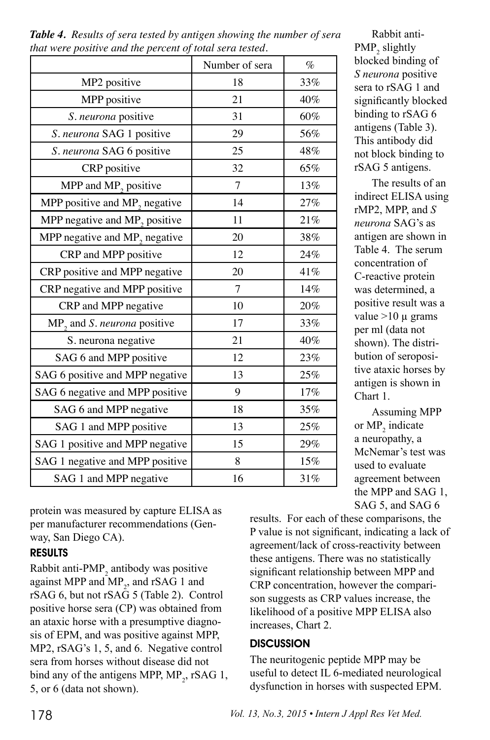|                                             | Number of sera | $\%$ |
|---------------------------------------------|----------------|------|
| MP2 positive                                | 18             | 33%  |
| MPP positive                                | 21             | 40%  |
| S. neurona positive                         | 31             | 60%  |
| S. neurona SAG 1 positive                   | 29             | 56%  |
| S. neurona SAG 6 positive                   | 25             | 48%  |
| CRP positive                                | 32             | 65%  |
| MPP and MP <sub>2</sub> positive            | 7              | 13%  |
| MPP positive and $MP$ <sub>2</sub> negative | 14             | 27%  |
| MPP negative and $MP_2$ positive            | 11             | 21%  |
| MPP negative and MP <sub>2</sub> negative   | 20             | 38%  |
| CRP and MPP positive                        | 12             | 24%  |
| CRP positive and MPP negative               | 20             | 41%  |
| CRP negative and MPP positive               | 7              | 14%  |
| CRP and MPP negative                        | 10             | 20%  |
| $MP_2$ and S. <i>neurona</i> positive       | 17             | 33%  |
| S. neurona negative                         | 21             | 40%  |
| SAG 6 and MPP positive                      | 12             | 23%  |
| SAG 6 positive and MPP negative             | 13             | 25%  |
| SAG 6 negative and MPP positive             | 9              | 17%  |
| SAG 6 and MPP negative                      | 18             | 35%  |
| SAG 1 and MPP positive                      | 13             | 25%  |
| SAG 1 positive and MPP negative             | 15             | 29%  |
| SAG 1 negative and MPP positive             | 8              | 15%  |
| SAG 1 and MPP negative                      | 16             | 31%  |

*Table 4. Results of sera tested by antigen showing the number of sera that were positive and the percent of total sera tested.* 

protein was measured by capture ELISA as per manufacturer recommendations (Genway, San Diego CA).

## RESULTS

Rabbit anti- $PMP_2$  antibody was positive against MPP and  $MP_2$ , and rSAG 1 and rSAG 6, but not rSAG 5 (Table 2). Control positive horse sera (CP) was obtained from an ataxic horse with a presumptive diagnosis of EPM, and was positive against MPP, MP2, rSAG's 1, 5, and 6. Negative control sera from horses without disease did not bind any of the antigens MPP,  $MP_2$ , rSAG 1, 5, or 6 (data not shown).

The neuritogenic peptide MPP may be useful to detect IL 6-mediated neurological dysfunction in horses with suspected EPM.

 $PMP_{2}$  slightly blocked binding of *S neurona* positive sera to rSAG 1 and significantly blocked binding to rSAG 6 antigens (Table 3). This antibody did not block binding to rSAG 5 antigens.

Rabbit anti-

The results of an indirect ELISA using rMP2, MPP, and *S neurona* SAG's as antigen are shown in Table 4. The serum concentration of C-reactive protein was determined, a positive result was a value  $>10 \mu$  grams per ml (data not shown). The distribution of seropositive ataxic horses by antigen is shown in Chart 1.

Assuming MPP or  $MP_2$  indicate a neuropathy, a McNemar's test was used to evaluate agreement between the MPP and SAG 1, SAG 5, and SAG 6

results. For each of these comparisons, the P value is not significant, indicating a lack of agreement/lack of cross-reactivity between these antigens. There was no statistically significant relationship between MPP and CRP concentration, however the comparison suggests as CRP values increase, the likelihood of a positive MPP ELISA also increases, Chart 2.

## **DISCUSSION**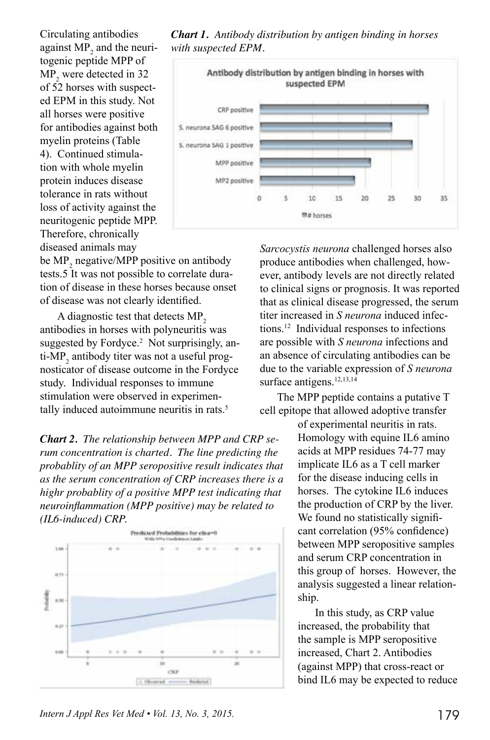Circulating antibodies against  $MP_2$  and the neuritogenic peptide MPP of  $MP_2$  were detected in 32 of 52 horses with suspected EPM in this study. Not all horses were positive for antibodies against both myelin proteins (Table 4). Continued stimulation with whole myelin protein induces disease tolerance in rats without loss of activity against the neuritogenic peptide MPP. Therefore, chronically diseased animals may

*Chart 1. Antibody distribution by antigen binding in horses with suspected EPM.*



be  $MP_2$  negative/MPP positive on antibody tests.5 It was not possible to correlate duration of disease in these horses because onset of disease was not clearly identified.

A diagnostic test that detects MP<sub>2</sub> antibodies in horses with polyneuritis was suggested by Fordyce.<sup>2</sup> Not surprisingly, anti-MP<sub>2</sub> antibody titer was not a useful prognosticator of disease outcome in the Fordyce study. Individual responses to immune stimulation were observed in experimentally induced autoimmune neuritis in rats.<sup>5</sup>

*Chart 2. The relationship between MPP and CRP serum concentration is charted. The line predicting the probablity of an MPP seropositive result indicates that as the serum concentration of CRP increases there is a highr probablity of a positive MPP test indicating that neuroinflammation (MPP positive) may be related to (IL6-induced) CRP.*



*Sarcocystis neurona* challenged horses also produce antibodies when challenged, however, antibody levels are not directly related to clinical signs or prognosis. It was reported that as clinical disease progressed, the serum titer increased in *S neurona* induced infections.12 Individual responses to infections are possible with *S neurona* infections and an absence of circulating antibodies can be due to the variable expression of *S neurona*  surface antigens.<sup>12,13,14</sup>

The MPP peptide contains a putative T cell epitope that allowed adoptive transfer

> of experimental neuritis in rats. Homology with equine IL6 amino acids at MPP residues 74-77 may implicate IL6 as a T cell marker for the disease inducing cells in horses. The cytokine IL6 induces the production of CRP by the liver. We found no statistically significant correlation (95% confidence) between MPP seropositive samples and serum CRP concentration in this group of horses. However, the analysis suggested a linear relationship.

> In this study, as CRP value increased, the probability that the sample is MPP seropositive increased, Chart 2. Antibodies (against MPP) that cross-react or bind IL6 may be expected to reduce

*Intern J Appl Res Vet Med • Vol. 13, No. 3, 2015.* 179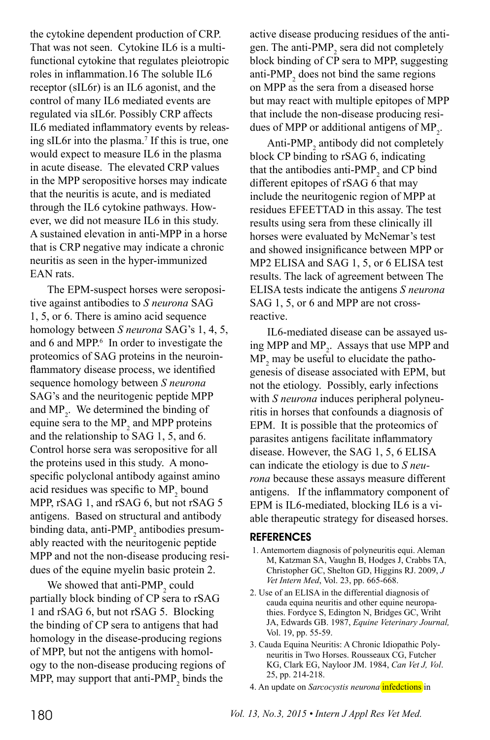the cytokine dependent production of CRP. That was not seen. Cytokine IL6 is a multifunctional cytokine that regulates pleiotropic roles in inflammation.16 The soluble IL6 receptor (sIL6r) is an IL6 agonist, and the control of many IL6 mediated events are regulated via sIL6r. Possibly CRP affects IL6 mediated inflammatory events by releasing sIL6r into the plasma.7 If this is true, one would expect to measure IL6 in the plasma in acute disease. The elevated CRP values in the MPP seropositive horses may indicate that the neuritis is acute, and is mediated through the IL6 cytokine pathways. However, we did not measure IL6 in this study. A sustained elevation in anti-MPP in a horse that is CRP negative may indicate a chronic neuritis as seen in the hyper-immunized EAN rats.

The EPM-suspect horses were seropositive against antibodies to *S neurona* SAG 1, 5, or 6. There is amino acid sequence homology between *S neurona* SAG's 1, 4, 5, and 6 and MPP.<sup>6</sup> In order to investigate the proteomics of SAG proteins in the neuroinflammatory disease process, we identified sequence homology between *S neurona*  SAG's and the neuritogenic peptide MPP and  $MP_2$ . We determined the binding of equine sera to the  $MP_2$  and MPP proteins and the relationship to SAG 1, 5, and 6. Control horse sera was seropositive for all the proteins used in this study. A monospecific polyclonal antibody against amino acid residues was specific to  $MP_2$  bound MPP, rSAG 1, and rSAG 6, but not rSAG 5 antigens. Based on structural and antibody binding data, anti-PMP<sub>2</sub> antibodies presumably reacted with the neuritogenic peptide MPP and not the non-disease producing residues of the equine myelin basic protein 2.

We showed that anti- $PMP_2$  could partially block binding of CP sera to rSAG 1 and rSAG 6, but not rSAG 5. Blocking the binding of CP sera to antigens that had homology in the disease-producing regions of MPP, but not the antigens with homology to the non-disease producing regions of MPP, may support that anti- $PMP_2$  binds the

active disease producing residues of the antigen. The anti-PMP<sub>2</sub> sera did not completely block binding of CP sera to MPP, suggesting anti-PMP<sub>2</sub> does not bind the same regions on MPP as the sera from a diseased horse but may react with multiple epitopes of MPP that include the non-disease producing residues of MPP or additional antigens of  $MP_2$ .

Anti-PMP<sub>2</sub> antibody did not completely block CP binding to rSAG 6, indicating that the antibodies anti-PMP<sub>2</sub> and CP bind different epitopes of rSAG 6 that may include the neuritogenic region of MPP at residues EFEETTAD in this assay. The test results using sera from these clinically ill horses were evaluated by McNemar's test and showed insignificance between MPP or MP2 ELISA and SAG 1, 5, or 6 ELISA test results. The lack of agreement between The ELISA tests indicate the antigens *S neurona*  SAG 1, 5, or 6 and MPP are not crossreactive.

IL6-mediated disease can be assayed using MPP and  $MP_2$ . Assays that use MPP and  $MP_2$  may be useful to elucidate the pathogenesis of disease associated with EPM, but not the etiology. Possibly, early infections with *S neurona* induces peripheral polyneuritis in horses that confounds a diagnosis of EPM. It is possible that the proteomics of parasites antigens facilitate inflammatory disease. However, the SAG 1, 5, 6 ELISA can indicate the etiology is due to *S neurona* because these assays measure different antigens. If the inflammatory component of EPM is IL6-mediated, blocking IL6 is a viable therapeutic strategy for diseased horses.

#### **REFERENCES**

- 1. Antemortem diagnosis of polyneuritis equi. Aleman M, Katzman SA, Vaughn B, Hodges J, Crabbs TA, Christopher GC, Shelton GD, Higgins RJ. 2009, *J Vet Intern Med*, Vol. 23, pp. 665-668.
- 2. Use of an ELISA in the differential diagnosis of cauda equina neuritis and other equine neuropathies. Fordyce S, Edington N, Bridges GC, Wriht JA, Edwards GB. 1987, *Equine Veterinary Journal,*  Vol. 19, pp. 55-59.
- 3. Cauda Equina Neuritis: A Chronic Idiopathic Polyneuritis in Two Horses. Rousseaux CG, Futcher KG, Clark EG, Nayloor JM. 1984, *Can Vet J, Vol*. 25, pp. 214-218.

4. An update on *Sarcocystis neurona* infedctions in

180 *Vol. 13, No.3, 2015 • Intern J Appl Res Vet Med.*